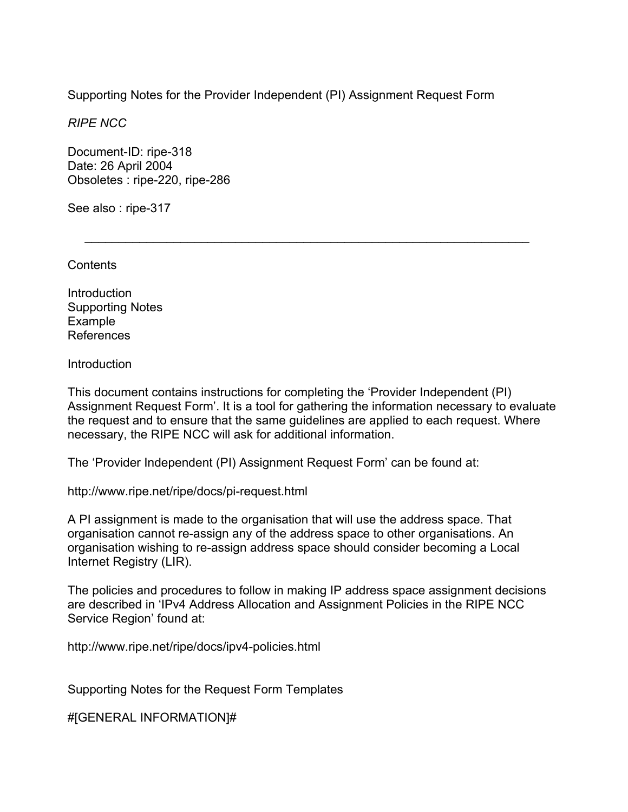Supporting Notes for the Provider Independent (PI) Assignment Request Form

 $\mathcal{L}=\underbrace{\mathcal{L}=\mathcal{L}=\mathcal{L}=\mathcal{L}=\mathcal{L}=\mathcal{L}=\mathcal{L}=\mathcal{L}=\mathcal{L}=\mathcal{L}=\mathcal{L}=\mathcal{L}=\mathcal{L}=\mathcal{L}=\mathcal{L}=\mathcal{L}=\mathcal{L}=\mathcal{L}=\mathcal{L}=\mathcal{L}=\mathcal{L}=\mathcal{L}=\mathcal{L}=\mathcal{L}=\mathcal{L}=\mathcal{L}=\mathcal{L}=\mathcal{L}=\mathcal{L}=\mathcal{L}=\mathcal{L}=\mathcal{L}=\mathcal{L}=\mathcal{L}=\mathcal{L}=\$ 

*RIPE NCC* 

Document-ID: ripe-318 Date: 26 April 2004 Obsoletes : ripe-220, ripe-286

See also : ripe-317

**Contents** 

Introduction Supporting Notes Example References

**Introduction** 

This document contains instructions for completing the 'Provider Independent (PI) Assignment Request Form'. It is a tool for gathering the information necessary to evaluate the request and to ensure that the same guidelines are applied to each request. Where necessary, the RIPE NCC will ask for additional information.

The 'Provider Independent (PI) Assignment Request Form' can be found at:

http://www.ripe.net/ripe/docs/pi-request.html

A PI assignment is made to the organisation that will use the address space. That organisation cannot re-assign any of the address space to other organisations. An organisation wishing to re-assign address space should consider becoming a Local Internet Registry (LIR).

The policies and procedures to follow in making IP address space assignment decisions are described in 'IPv4 Address Allocation and Assignment Policies in the RIPE NCC Service Region' found at:

http://www.ripe.net/ripe/docs/ipv4-policies.html

Supporting Notes for the Request Form Templates

#[GENERAL INFORMATION]#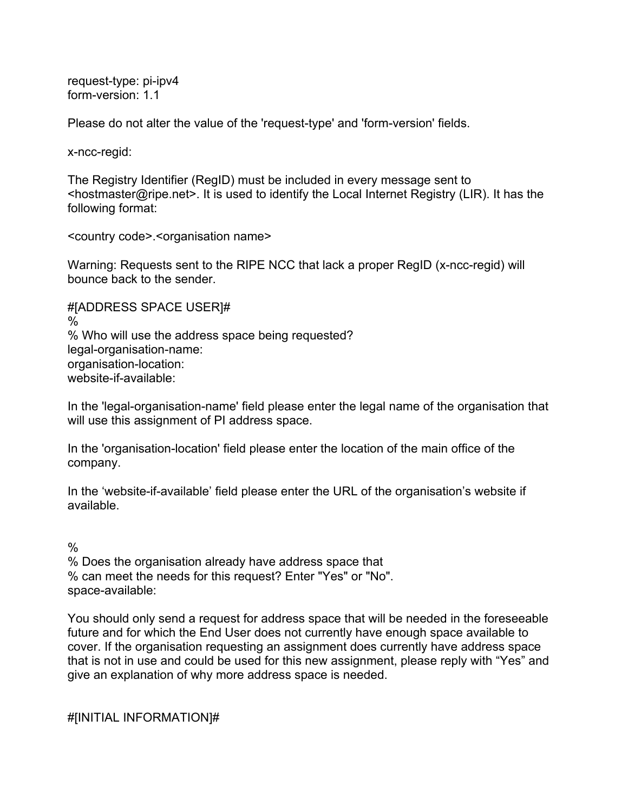request-type: pi-ipv4 form-version: 1.1

Please do not alter the value of the 'request-type' and 'form-version' fields.

x-ncc-regid:

The Registry Identifier (RegID) must be included in every message sent to <hostmaster@ripe.net>. It is used to identify the Local Internet Registry (LIR). It has the following format:

<country code>.<organisation name>

Warning: Requests sent to the RIPE NCC that lack a proper RegID (x-ncc-regid) will bounce back to the sender.

#[ADDRESS SPACE USER]# % % Who will use the address space being requested? legal-organisation-name: organisation-location: website-if-available:

In the 'legal-organisation-name' field please enter the legal name of the organisation that will use this assignment of PI address space.

In the 'organisation-location' field please enter the location of the main office of the company.

In the 'website-if-available' field please enter the URL of the organisation's website if available.

 $\frac{0}{0}$ 

% Does the organisation already have address space that % can meet the needs for this request? Enter "Yes" or "No". space-available:

You should only send a request for address space that will be needed in the foreseeable future and for which the End User does not currently have enough space available to cover. If the organisation requesting an assignment does currently have address space that is not in use and could be used for this new assignment, please reply with "Yes" and give an explanation of why more address space is needed.

#[INITIAL INFORMATION]#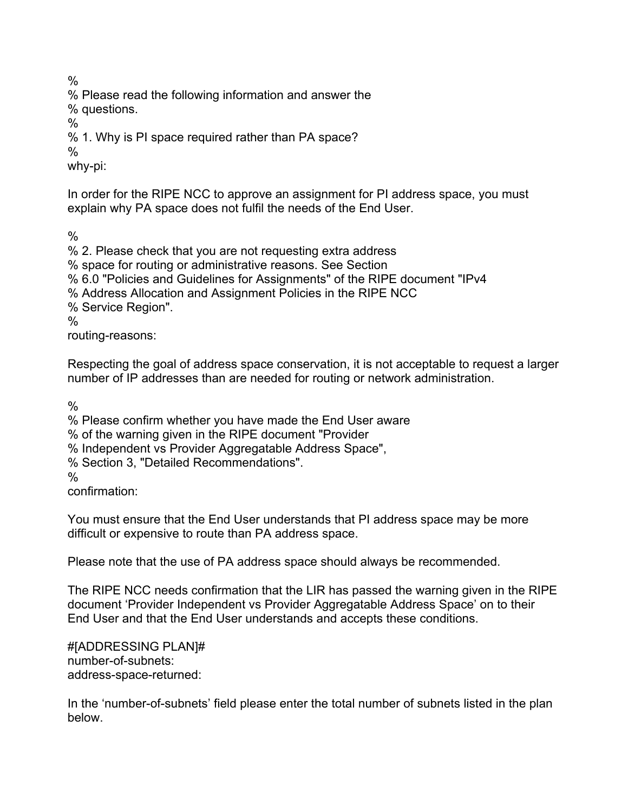%

% Please read the following information and answer the

% questions.

%

% 1. Why is PI space required rather than PA space?

 $\frac{0}{0}$ 

why-pi:

In order for the RIPE NCC to approve an assignment for PI address space, you must explain why PA space does not fulfil the needs of the End User.

 $\frac{0}{0}$ 

% 2. Please check that you are not requesting extra address % space for routing or administrative reasons. See Section % 6.0 "Policies and Guidelines for Assignments" of the RIPE document "IPv4 % Address Allocation and Assignment Policies in the RIPE NCC % Service Region".  $\frac{0}{0}$ routing-reasons:

Respecting the goal of address space conservation, it is not acceptable to request a larger number of IP addresses than are needed for routing or network administration.

 $\frac{0}{0}$ 

% Please confirm whether you have made the End User aware

% of the warning given in the RIPE document "Provider

% Independent vs Provider Aggregatable Address Space",

% Section 3, "Detailed Recommendations".

 $\frac{0}{0}$ 

confirmation:

You must ensure that the End User understands that PI address space may be more difficult or expensive to route than PA address space.

Please note that the use of PA address space should always be recommended.

The RIPE NCC needs confirmation that the LIR has passed the warning given in the RIPE document 'Provider Independent vs Provider Aggregatable Address Space' on to their End User and that the End User understands and accepts these conditions.

#[ADDRESSING PLAN]# number-of-subnets: address-space-returned:

In the 'number-of-subnets' field please enter the total number of subnets listed in the plan below.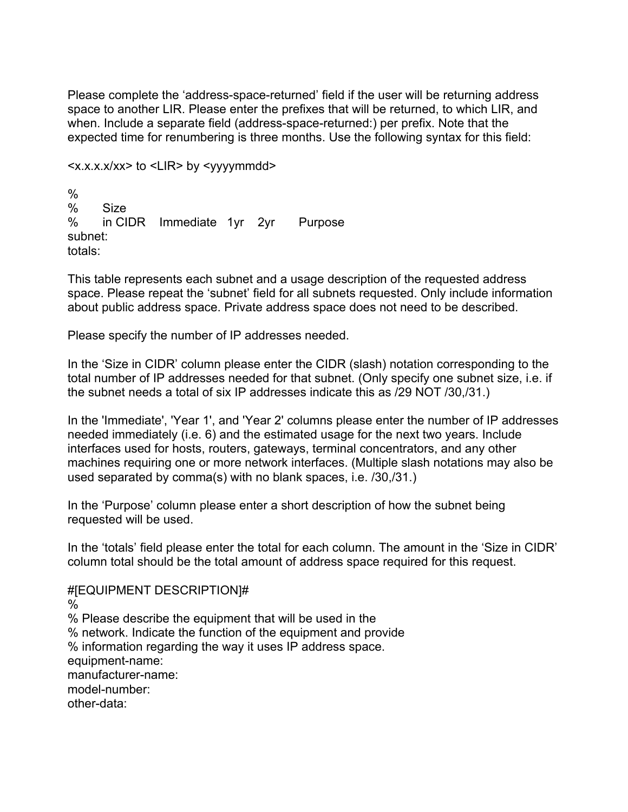Please complete the 'address-space-returned' field if the user will be returning address space to another LIR. Please enter the prefixes that will be returned, to which LIR, and when. Include a separate field (address-space-returned:) per prefix. Note that the expected time for renumbering is three months. Use the following syntax for this field:

```
<x.x.x.x/xx> to <LIR> by <yyyymmdd>
```
% % Size % in CIDR Immediate 1yr 2yr Purpose subnet: totals:

This table represents each subnet and a usage description of the requested address space. Please repeat the 'subnet' field for all subnets requested. Only include information about public address space. Private address space does not need to be described.

Please specify the number of IP addresses needed.

In the 'Size in CIDR' column please enter the CIDR (slash) notation corresponding to the total number of IP addresses needed for that subnet. (Only specify one subnet size, i.e. if the subnet needs a total of six IP addresses indicate this as /29 NOT /30,/31.)

In the 'Immediate', 'Year 1', and 'Year 2' columns please enter the number of IP addresses needed immediately (i.e. 6) and the estimated usage for the next two years. Include interfaces used for hosts, routers, gateways, terminal concentrators, and any other machines requiring one or more network interfaces. (Multiple slash notations may also be used separated by comma(s) with no blank spaces, i.e. /30,/31.)

In the 'Purpose' column please enter a short description of how the subnet being requested will be used.

In the 'totals' field please enter the total for each column. The amount in the 'Size in CIDR' column total should be the total amount of address space required for this request.

#[EQUIPMENT DESCRIPTION]# % % Please describe the equipment that will be used in the % network. Indicate the function of the equipment and provide % information regarding the way it uses IP address space. equipment-name: manufacturer-name: model-number: other-data: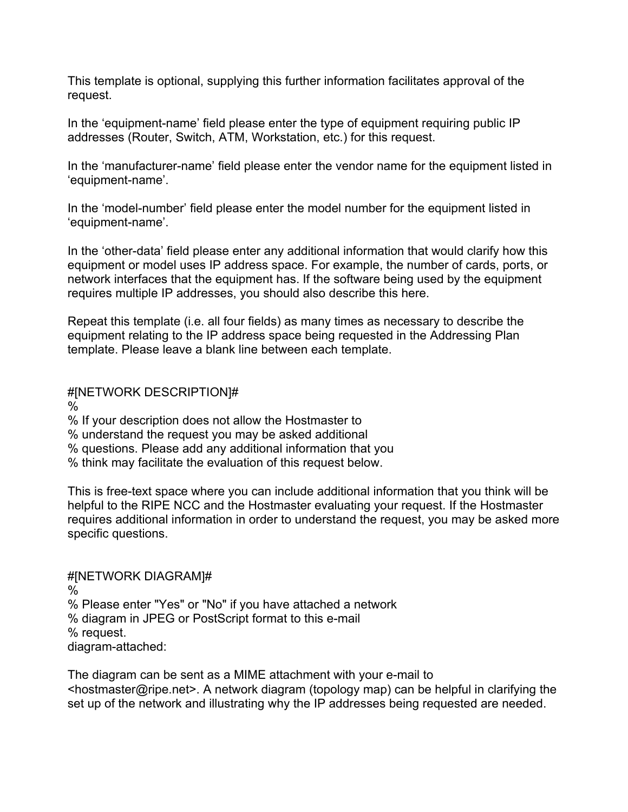This template is optional, supplying this further information facilitates approval of the request.

In the 'equipment-name' field please enter the type of equipment requiring public IP addresses (Router, Switch, ATM, Workstation, etc.) for this request.

In the 'manufacturer-name' field please enter the vendor name for the equipment listed in 'equipment-name'.

In the 'model-number' field please enter the model number for the equipment listed in 'equipment-name'.

In the 'other-data' field please enter any additional information that would clarify how this equipment or model uses IP address space. For example, the number of cards, ports, or network interfaces that the equipment has. If the software being used by the equipment requires multiple IP addresses, you should also describe this here.

Repeat this template (i.e. all four fields) as many times as necessary to describe the equipment relating to the IP address space being requested in the Addressing Plan template. Please leave a blank line between each template.

## #[NETWORK DESCRIPTION]#

%

% If your description does not allow the Hostmaster to

% understand the request you may be asked additional

% questions. Please add any additional information that you

% think may facilitate the evaluation of this request below.

This is free-text space where you can include additional information that you think will be helpful to the RIPE NCC and the Hostmaster evaluating your request. If the Hostmaster requires additional information in order to understand the request, you may be asked more specific questions.

### #[NETWORK DIAGRAM]# % % Please enter "Yes" or "No" if you have attached a network % diagram in JPEG or PostScript format to this e-mail % request.

diagram-attached:

The diagram can be sent as a MIME attachment with your e-mail to <hostmaster@ripe.net>. A network diagram (topology map) can be helpful in clarifying the set up of the network and illustrating why the IP addresses being requested are needed.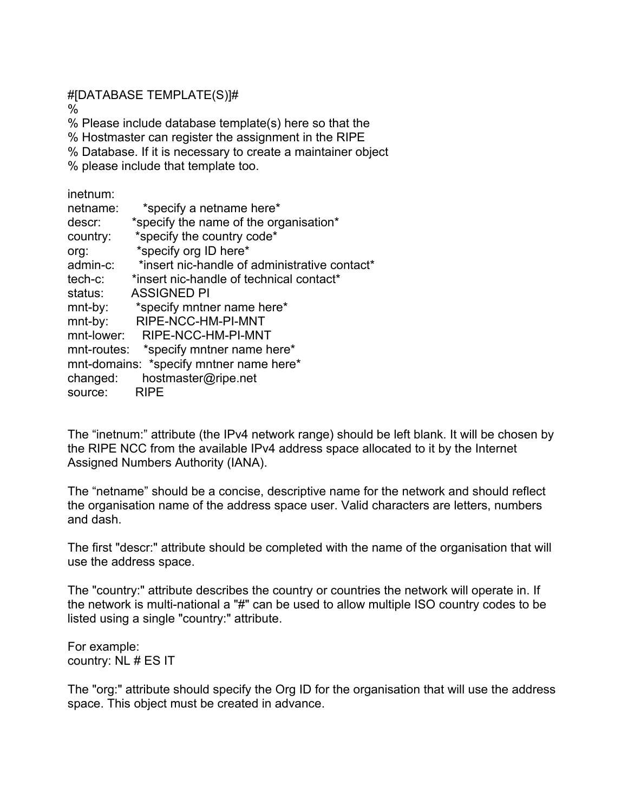#[DATABASE TEMPLATE(S)]#

%

% Please include database template(s) here so that the

% Hostmaster can register the assignment in the RIPE

% Database. If it is necessary to create a maintainer object

% please include that template too.

inetnum:

| *specify the name of the organisation*<br>descr:          |  |
|-----------------------------------------------------------|--|
|                                                           |  |
| *specify the country code*<br>country:                    |  |
| *specify org ID here*<br>org:                             |  |
| *insert nic-handle of administrative contact*<br>admin-c: |  |
| *insert nic-handle of technical contact*<br>tech-c:       |  |
| <b>ASSIGNED PI</b><br>status:                             |  |
| *specify mntner name here*<br>mnt-by:                     |  |
| RIPE-NCC-HM-PI-MNT<br>mnt-by:                             |  |
| mnt-lower:<br>RIPE-NCC-HM-PI-MNT                          |  |
| mnt-routes: *specify mntner name here*                    |  |
| mnt-domains: *specify mntner name here*                   |  |
| hostmaster@ripe.net<br>changed:                           |  |
| <b>RIPE</b><br>source:                                    |  |

The "inetnum:" attribute (the IPv4 network range) should be left blank. It will be chosen by the RIPE NCC from the available IPv4 address space allocated to it by the Internet Assigned Numbers Authority (IANA).

The "netname" should be a concise, descriptive name for the network and should reflect the organisation name of the address space user. Valid characters are letters, numbers and dash.

The first "descr:" attribute should be completed with the name of the organisation that will use the address space.

The "country:" attribute describes the country or countries the network will operate in. If the network is multi-national a "#" can be used to allow multiple ISO country codes to be listed using a single "country:" attribute.

For example: country: NL # ES IT

The "org:" attribute should specify the Org ID for the organisation that will use the address space. This object must be created in advance.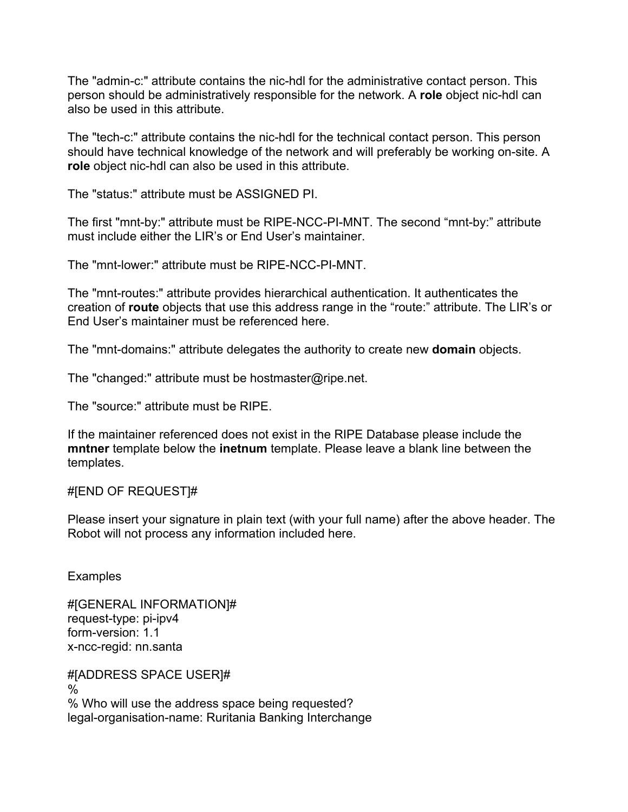The "admin-c:" attribute contains the nic-hdl for the administrative contact person. This person should be administratively responsible for the network. A **role** object nic-hdl can also be used in this attribute.

The "tech-c:" attribute contains the nic-hdl for the technical contact person. This person should have technical knowledge of the network and will preferably be working on-site. A **role** object nic-hdl can also be used in this attribute.

The "status:" attribute must be ASSIGNED PI.

The first "mnt-by:" attribute must be RIPE-NCC-PI-MNT. The second "mnt-by:" attribute must include either the LIR's or End User's maintainer.

The "mnt-lower:" attribute must be RIPE-NCC-PI-MNT.

The "mnt-routes:" attribute provides hierarchical authentication. It authenticates the creation of **route** objects that use this address range in the "route:" attribute. The LIR's or End User's maintainer must be referenced here.

The "mnt-domains:" attribute delegates the authority to create new **domain** objects.

The "changed:" attribute must be hostmaster@ripe.net.

The "source:" attribute must be RIPE.

If the maintainer referenced does not exist in the RIPE Database please include the **mntner** template below the **inetnum** template. Please leave a blank line between the templates.

#### #[END OF REQUEST]#

Please insert your signature in plain text (with your full name) after the above header. The Robot will not process any information included here.

**Examples** 

#[GENERAL INFORMATION]# request-type: pi-ipv4 form-version: 1.1 x-ncc-regid: nn.santa

#[ADDRESS SPACE USER]# % % Who will use the address space being requested? legal-organisation-name: Ruritania Banking Interchange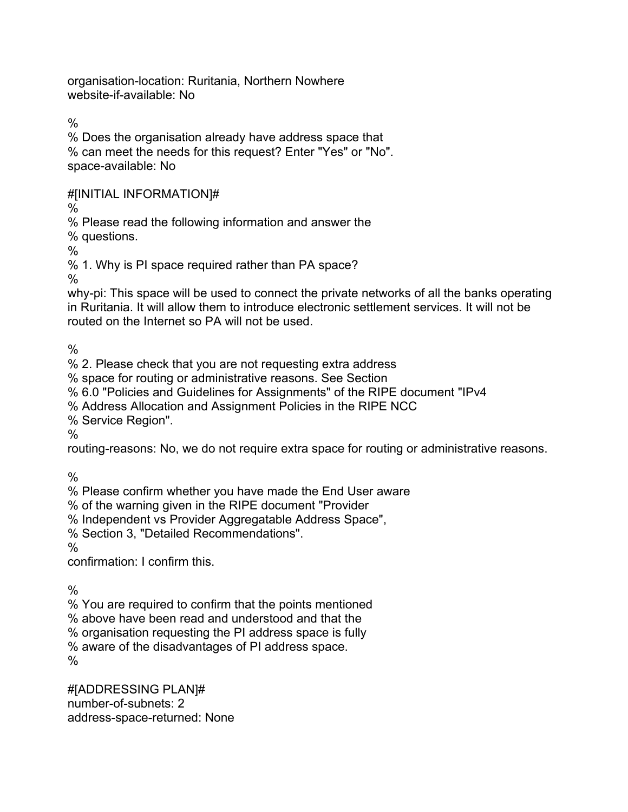organisation-location: Ruritania, Northern Nowhere website-if-available: No

 $\frac{0}{0}$ 

% Does the organisation already have address space that % can meet the needs for this request? Enter "Yes" or "No". space-available: No

#[INITIAL INFORMATION]#

%

% Please read the following information and answer the

% questions.

%

% 1. Why is PI space required rather than PA space?

%

why-pi: This space will be used to connect the private networks of all the banks operating in Ruritania. It will allow them to introduce electronic settlement services. It will not be routed on the Internet so PA will not be used.

 $\frac{0}{0}$ 

% 2. Please check that you are not requesting extra address

% space for routing or administrative reasons. See Section

% 6.0 "Policies and Guidelines for Assignments" of the RIPE document "IPv4

% Address Allocation and Assignment Policies in the RIPE NCC

% Service Region".

%

routing-reasons: No, we do not require extra space for routing or administrative reasons.

 $\%$ 

% Please confirm whether you have made the End User aware

% of the warning given in the RIPE document "Provider

% Independent vs Provider Aggregatable Address Space",

% Section 3, "Detailed Recommendations".

 $\frac{0}{0}$ 

confirmation: I confirm this.

 $\frac{0}{0}$ 

% You are required to confirm that the points mentioned

% above have been read and understood and that the

% organisation requesting the PI address space is fully

% aware of the disadvantages of PI address space.

 $\%$ 

#[ADDRESSING PLAN]# number-of-subnets: 2 address-space-returned: None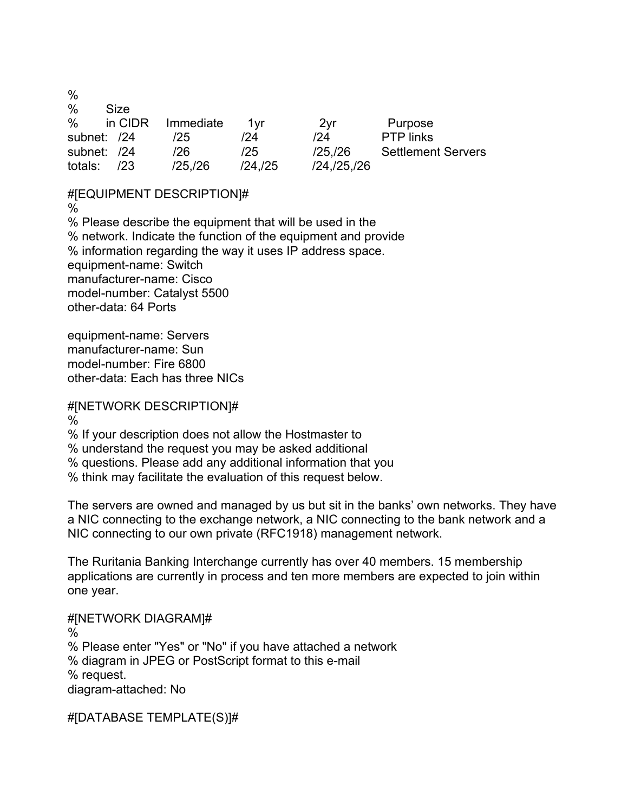$\frac{0}{0}$ 

| %             | Size    |           |            |               |                           |
|---------------|---------|-----------|------------|---------------|---------------------------|
| $\%$          | in CIDR | Immediate | 1vr        | 2yr           | Purpose                   |
| subnet: /24   |         | 125       | /24        | /24           | <b>PTP</b> links          |
| subnet: /24   |         | /26       | /25        | /25/26        | <b>Settlement Servers</b> |
| totals: $/23$ |         | /25/26    | $/24$ ./25 | /24, /25, /26 |                           |

### #[EQUIPMENT DESCRIPTION]#

%

% Please describe the equipment that will be used in the % network. Indicate the function of the equipment and provide % information regarding the way it uses IP address space. equipment-name: Switch manufacturer-name: Cisco model-number: Catalyst 5500 other-data: 64 Ports

equipment-name: Servers manufacturer-name: Sun model-number: Fire 6800 other-data: Each has three NICs

# #[NETWORK DESCRIPTION]#

 $\%$ 

% If your description does not allow the Hostmaster to

% understand the request you may be asked additional

% questions. Please add any additional information that you

% think may facilitate the evaluation of this request below.

The servers are owned and managed by us but sit in the banks' own networks. They have a NIC connecting to the exchange network, a NIC connecting to the bank network and a NIC connecting to our own private (RFC1918) management network.

The Ruritania Banking Interchange currently has over 40 members. 15 membership applications are currently in process and ten more members are expected to join within one year.

#[NETWORK DIAGRAM]#  $\%$ % Please enter "Yes" or "No" if you have attached a network % diagram in JPEG or PostScript format to this e-mail % request. diagram-attached: No

#[DATABASE TEMPLATE(S)]#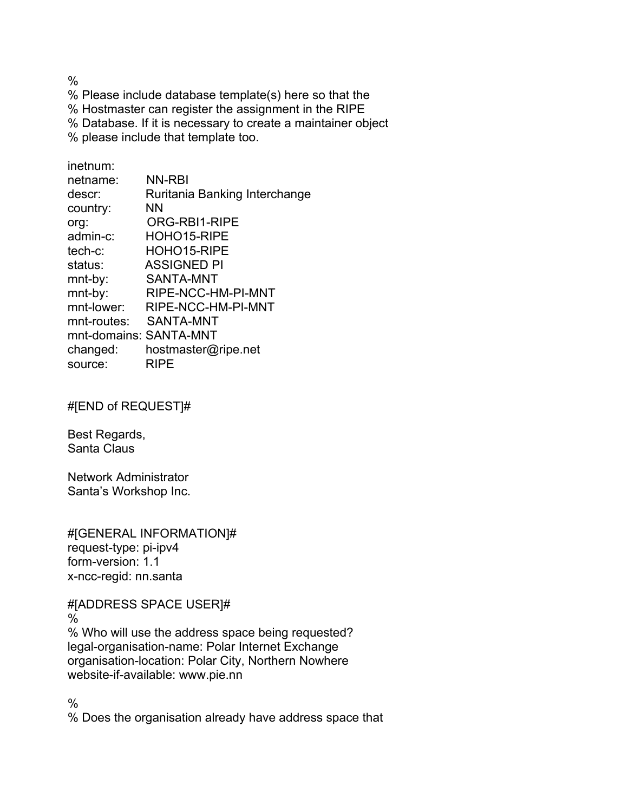$\frac{0}{0}$ 

% Please include database template(s) here so that the % Hostmaster can register the assignment in the RIPE % Database. If it is necessary to create a maintainer object % please include that template too.

inetnum: netname: NN-RBI descr: Ruritania Banking Interchange country: NN org: ORG-RBI1-RIPE admin-c: HOHO15-RIPE tech-c: HOHO15-RIPE status: ASSIGNED PI mnt-by: SANTA-MNT mnt-by: RIPE-NCC-HM-PI-MNT mnt-lower: RIPE-NCC-HM-PI-MNT mnt-routes: SANTA-MNT mnt-domains: SANTA-MNT changed: hostmaster@ripe.net source: RIPE

#[END of REQUEST]#

Best Regards, Santa Claus

Network Administrator Santa's Workshop Inc.

#[GENERAL INFORMATION]# request-type: pi-ipv4 form-version: 1.1 x-ncc-regid: nn.santa

#[ADDRESS SPACE USER]# % % Who will use the address space being requested? legal-organisation-name: Polar Internet Exchange organisation-location: Polar City, Northern Nowhere website-if-available: www.pie.nn

 $\frac{0}{0}$ 

% Does the organisation already have address space that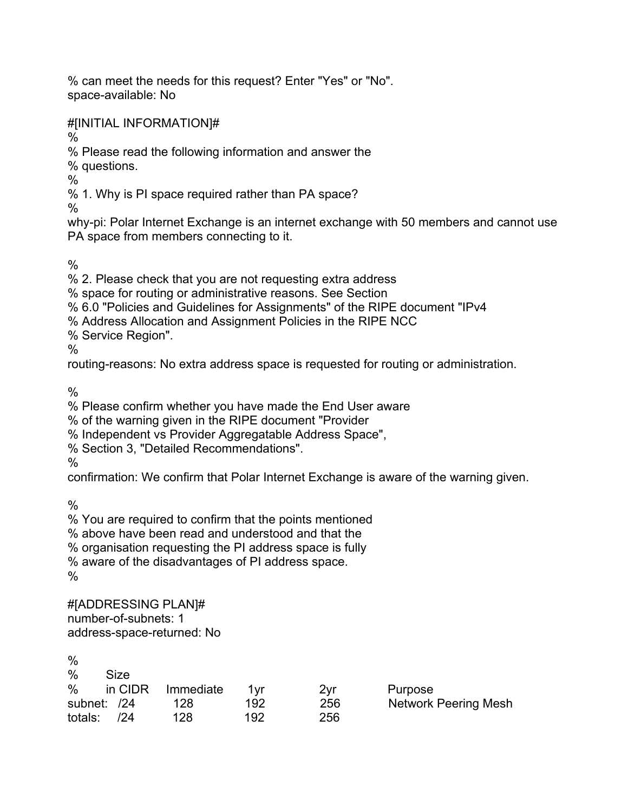% can meet the needs for this request? Enter "Yes" or "No". space-available: No

#[INITIAL INFORMATION]#

 $\frac{0}{0}$ 

% Please read the following information and answer the

% questions.

%

% 1. Why is PI space required rather than PA space?

 $\%$ 

why-pi: Polar Internet Exchange is an internet exchange with 50 members and cannot use PA space from members connecting to it.

 $\frac{0}{0}$ 

% 2. Please check that you are not requesting extra address

% space for routing or administrative reasons. See Section

% 6.0 "Policies and Guidelines for Assignments" of the RIPE document "IPv4

% Address Allocation and Assignment Policies in the RIPE NCC

% Service Region".

 $\frac{0}{0}$ 

routing-reasons: No extra address space is requested for routing or administration.

 $\frac{0}{0}$ 

% Please confirm whether you have made the End User aware

% of the warning given in the RIPE document "Provider

% Independent vs Provider Aggregatable Address Space",

% Section 3, "Detailed Recommendations".

 $\frac{0}{0}$ 

confirmation: We confirm that Polar Internet Exchange is aware of the warning given.

 $\frac{0}{0}$ 

% You are required to confirm that the points mentioned

% above have been read and understood and that the

% organisation requesting the PI address space is fully

% aware of the disadvantages of PI address space.

%

#[ADDRESSING PLAN]# number-of-subnets: 1 address-space-returned: No

| %              |           |     |     |                      |
|----------------|-----------|-----|-----|----------------------|
| $\%$<br>Size   |           |     |     |                      |
| %<br>in CIDR   | Immediate | 1vr | 2vr | Purpose              |
| subnet: /24    | 128       | 192 | 256 | Network Peering Mesh |
| totals:<br>124 | 128       | 192 | 256 |                      |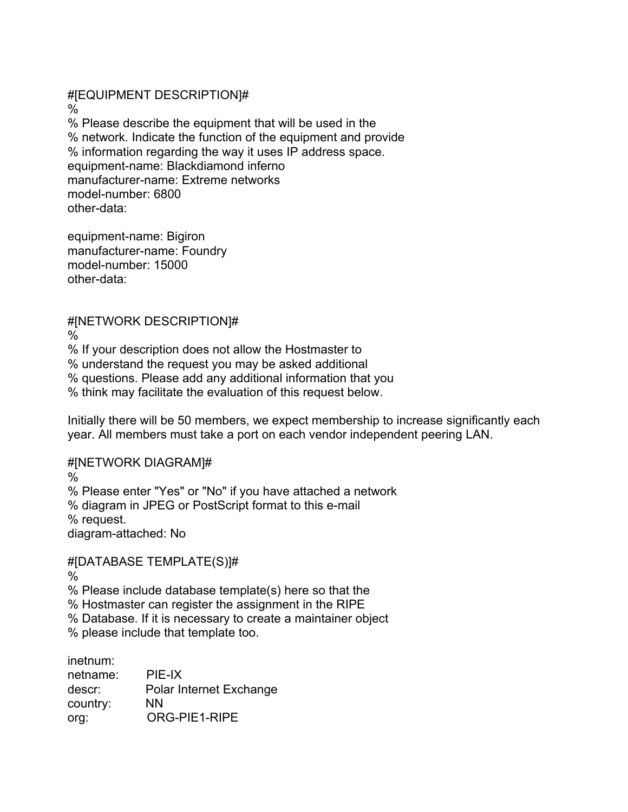#[EQUIPMENT DESCRIPTION]# % % Please describe the equipment that will be used in the % network. Indicate the function of the equipment and provide % information regarding the way it uses IP address space. equipment-name: Blackdiamond inferno manufacturer-name: Extreme networks model-number: 6800 other-data:

equipment-name: Bigiron manufacturer-name: Foundry model-number: 15000 other-data:

# #[NETWORK DESCRIPTION]#

%

% If your description does not allow the Hostmaster to

% understand the request you may be asked additional

% questions. Please add any additional information that you

% think may facilitate the evaluation of this request below.

Initially there will be 50 members, we expect membership to increase significantly each year. All members must take a port on each vendor independent peering LAN.

# #[NETWORK DIAGRAM]#

%

% Please enter "Yes" or "No" if you have attached a network

% diagram in JPEG or PostScript format to this e-mail

% request.

diagram-attached: No

# #[DATABASE TEMPLATE(S)]#

%

% Please include database template(s) here so that the

% Hostmaster can register the assignment in the RIPE

% Database. If it is necessary to create a maintainer object

% please include that template too.

inetnum:

| netname: | PIE-IX                  |
|----------|-------------------------|
| descr:   | Polar Internet Exchange |
| country: | ΝN                      |
| org:     | ORG-PIE1-RIPE           |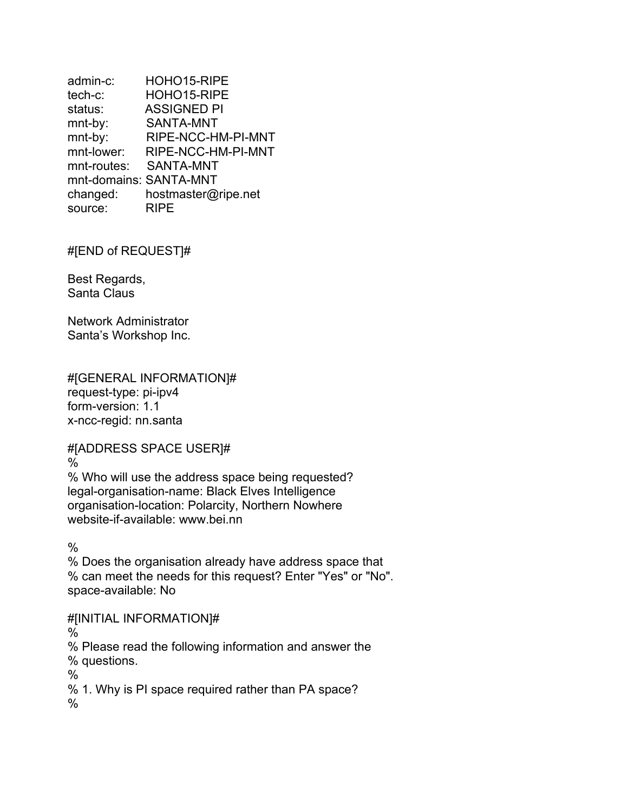admin-c: HOHO15-RIPE tech-c: HOHO15-RIPE status: ASSIGNED PI mnt-by: SANTA-MNT mnt-by: RIPE-NCC-HM-PI-MNT mnt-lower: RIPE-NCC-HM-PI-MNT mnt-routes: SANTA-MNT mnt-domains: SANTA-MNT changed: hostmaster@ripe.net source: RIPE

#[END of REQUEST]#

Best Regards, Santa Claus

Network Administrator Santa's Workshop Inc.

#[GENERAL INFORMATION]# request-type: pi-ipv4 form-version: 1.1 x-ncc-regid: nn.santa

#[ADDRESS SPACE USER]#

 $\%$ 

% Who will use the address space being requested? legal-organisation-name: Black Elves Intelligence organisation-location: Polarcity, Northern Nowhere website-if-available: www.bei.nn

%

% Does the organisation already have address space that % can meet the needs for this request? Enter "Yes" or "No". space-available: No

#[INITIAL INFORMATION]#

 $\%$ 

% Please read the following information and answer the

% questions.

%

% 1. Why is PI space required rather than PA space?

%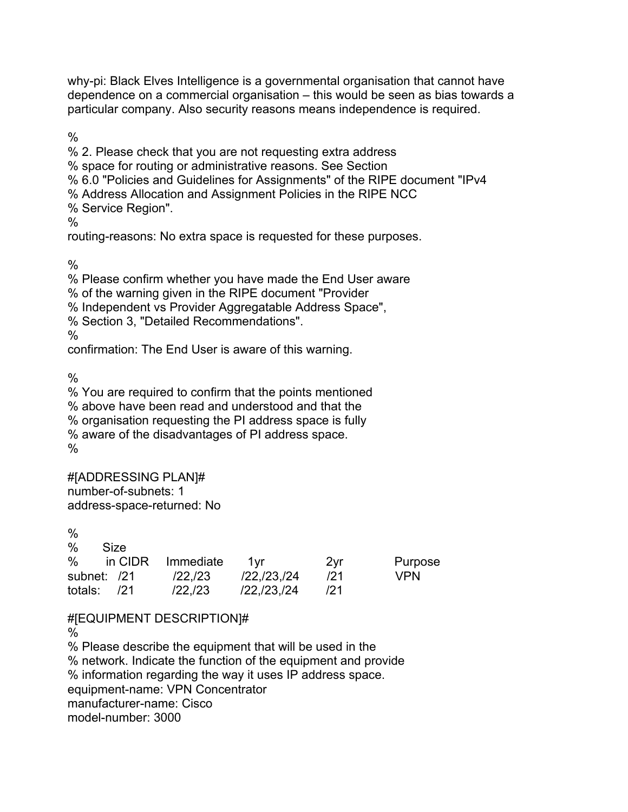why-pi: Black Elves Intelligence is a governmental organisation that cannot have dependence on a commercial organisation – this would be seen as bias towards a particular company. Also security reasons means independence is required.

 $\frac{0}{0}$ 

% 2. Please check that you are not requesting extra address % space for routing or administrative reasons. See Section % 6.0 "Policies and Guidelines for Assignments" of the RIPE document "IPv4 % Address Allocation and Assignment Policies in the RIPE NCC % Service Region".  $\frac{0}{0}$ routing-reasons: No extra space is requested for these purposes.

 $\frac{0}{0}$ 

% Please confirm whether you have made the End User aware

% of the warning given in the RIPE document "Provider

% Independent vs Provider Aggregatable Address Space",

% Section 3, "Detailed Recommendations".

%

confirmation: The End User is aware of this warning.

%

% You are required to confirm that the points mentioned % above have been read and understood and that the % organisation requesting the PI address space is fully % aware of the disadvantages of PI address space. %

#[ADDRESSING PLAN]# number-of-subnets: 1 address-space-returned: No

%

| $\%$          | Size |                   |                       |     |            |
|---------------|------|-------------------|-----------------------|-----|------------|
| $\%$          |      | in CIDR Immediate | 1vr                   | 2yr | Purpose    |
| subnet: /21   |      | /22,/23           | $/22$ , $/23$ , $/24$ | 121 | <b>VPN</b> |
| totals: $/21$ |      | /22./23           | $/22$ , $/23$ , $/24$ | 121 |            |

#[EQUIPMENT DESCRIPTION]#

 $\%$ 

% Please describe the equipment that will be used in the % network. Indicate the function of the equipment and provide % information regarding the way it uses IP address space. equipment-name: VPN Concentrator manufacturer-name: Cisco model-number: 3000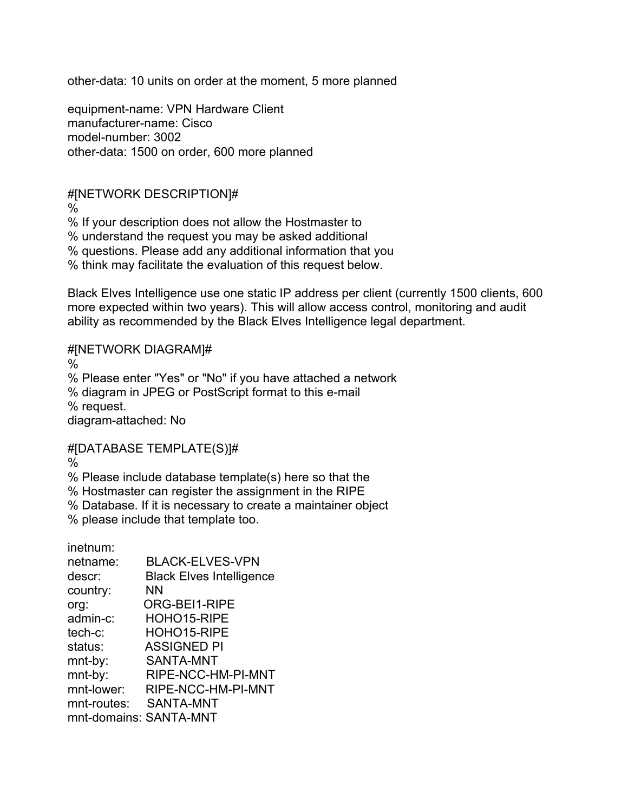other-data: 10 units on order at the moment, 5 more planned

equipment-name: VPN Hardware Client manufacturer-name: Cisco model-number: 3002 other-data: 1500 on order, 600 more planned

### #[NETWORK DESCRIPTION]#

 $\frac{0}{0}$ 

% If your description does not allow the Hostmaster to

% understand the request you may be asked additional

% questions. Please add any additional information that you

% think may facilitate the evaluation of this request below.

Black Elves Intelligence use one static IP address per client (currently 1500 clients, 600 more expected within two years). This will allow access control, monitoring and audit ability as recommended by the Black Elves Intelligence legal department.

#### #[NETWORK DIAGRAM]#

%

% Please enter "Yes" or "No" if you have attached a network % diagram in JPEG or PostScript format to this e-mail % request. diagram-attached: No

#### #[DATABASE TEMPLATE(S)]#

 $\frac{0}{0}$ 

% Please include database template(s) here so that the

% Hostmaster can register the assignment in the RIPE

% Database. If it is necessary to create a maintainer object

% please include that template too.

inetnum: netname: BLACK-ELVES-VPN descr: Black Elves Intelligence country: NN org: ORG-BEI1-RIPE admin-c: HOHO15-RIPE tech-c: HOHO15-RIPE status: ASSIGNED PI mnt-by: SANTA-MNT mnt-by: RIPE-NCC-HM-PI-MNT mnt-lower: RIPE-NCC-HM-PI-MNT mnt-routes: SANTA-MNT mnt-domains: SANTA-MNT